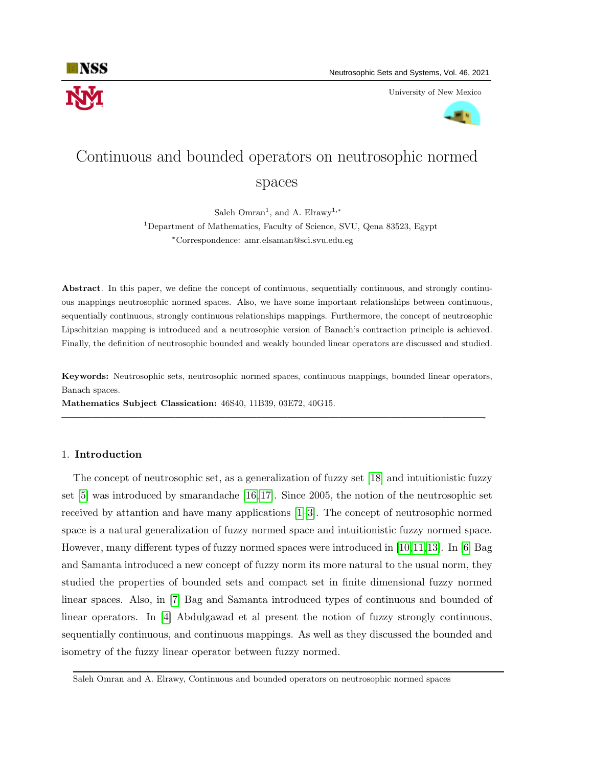

University of New Mexico



# Continuous and bounded operators on neutrosophic normed spaces

Saleh Omran<sup>1</sup>, and A. Elrawy<sup>1,\*</sup>

<sup>1</sup>Department of Mathematics, Faculty of Science, SVU, Qena 83523, Egypt <sup>∗</sup>Correspondence: amr.elsaman@sci.svu.edu.eg

Abstract. In this paper, we define the concept of continuous, sequentially continuous, and strongly continuous mappings neutrosophic normed spaces. Also, we have some important relationships between continuous, sequentially continuous, strongly continuous relationships mappings. Furthermore, the concept of neutrosophic Lipschitzian mapping is introduced and a neutrosophic version of Banach's contraction principle is achieved. Finally, the definition of neutrosophic bounded and weakly bounded linear operators are discussed and studied.

Keywords: Neutrosophic sets, neutrosophic normed spaces, continuous mappings, bounded linear operators, Banach spaces.

—————————————————————————————————————————-

Mathematics Subject Classication: 46S40, 11B39, 03E72, 40G15.

# 1. Introduction

The concept of neutrosophic set, as a generalization of fuzzy set [\[18\]](#page-13-0) and intuitionistic fuzzy set [\[5\]](#page-12-0) was introduced by smarandache [\[16,](#page-13-1) [17\]](#page-13-2). Since 2005, the notion of the neutrosophic set received by attantion and have many applications [\[1–](#page-12-1)[3\]](#page-12-2). The concept of neutrosophic normed space is a natural generalization of fuzzy normed space and intuitionistic fuzzy normed space. However, many different types of fuzzy normed spaces were introduced in [\[10,](#page-13-3)[11,](#page-13-4)[13\]](#page-13-5). In [\[6\]](#page-13-6) Bag and Samanta introduced a new concept of fuzzy norm its more natural to the usual norm, they studied the properties of bounded sets and compact set in finite dimensional fuzzy normed linear spaces. Also, in [\[7\]](#page-13-7) Bag and Samanta introduced types of continuous and bounded of linear operators. In [\[4\]](#page-12-3) Abdulgawad et al present the notion of fuzzy strongly continuous, sequentially continuous, and continuous mappings. As well as they discussed the bounded and isometry of the fuzzy linear operator between fuzzy normed.

Saleh Omran and A. Elrawy, Continuous and bounded operators on neutrosophic normed spaces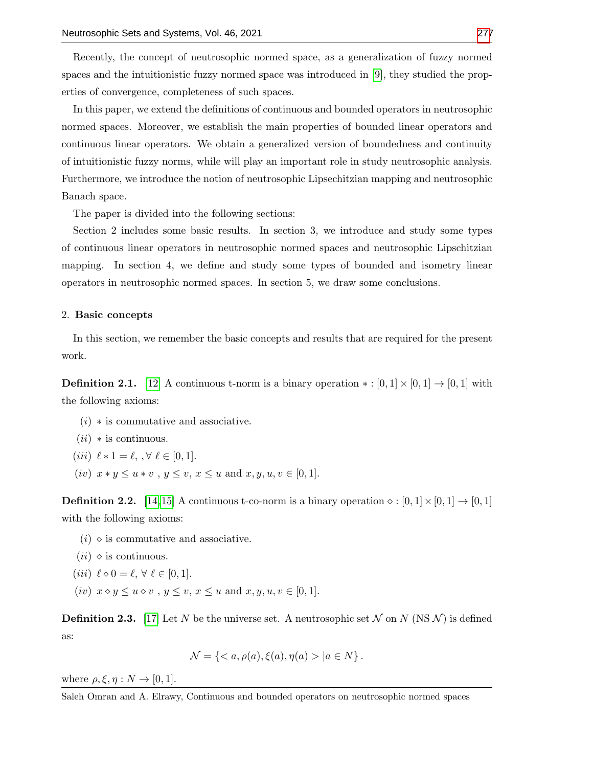Recently, the concept of neutrosophic normed space, as a generalization of fuzzy normed spaces and the intuitionistic fuzzy normed space was introduced in [\[9\]](#page-13-9), they studied the properties of convergence, completeness of such spaces.

In this paper, we extend the definitions of continuous and bounded operators in neutrosophic normed spaces. Moreover, we establish the main properties of bounded linear operators and continuous linear operators. We obtain a generalized version of boundedness and continuity of intuitionistic fuzzy norms, while will play an important role in study neutrosophic analysis. Furthermore, we introduce the notion of neutrosophic Lipsechitzian mapping and neutrosophic Banach space.

The paper is divided into the following sections:

Section 2 includes some basic results. In section 3, we introduce and study some types of continuous linear operators in neutrosophic normed spaces and neutrosophic Lipschitzian mapping. In section 4, we define and study some types of bounded and isometry linear operators in neutrosophic normed spaces. In section 5, we draw some conclusions.

## 2. Basic concepts

In this section, we remember the basic concepts and results that are required for the present work.

**Definition 2.1.** [\[12\]](#page-13-10) A continuous t-norm is a binary operation  $* : [0,1] \times [0,1] \rightarrow [0,1]$  with the following axioms:

- $(i) *$  is commutative and associative.
- $(ii)$  \* is continuous.
- (*iii*)  $\ell * 1 = \ell, \, \forall \ell \in [0, 1].$
- (iv)  $x * y \le u * v$ ,  $y \le v$ ,  $x \le u$  and  $x, y, u, v \in [0, 1]$ .

**Definition 2.2.** [\[14,](#page-13-11)[15\]](#page-13-12) A continuous t-co-norm is a binary operation  $\diamond : [0,1] \times [0,1] \rightarrow [0,1]$ with the following axioms:

- $(i)$   $\diamond$  is commutative and associative.
- $(ii)$   $\diamond$  is continuous.
- (iii)  $\ell \diamond 0 = \ell, \forall \ell \in [0, 1].$
- (iv)  $x \diamond y \leq u \diamond v$ ,  $y \leq v$ ,  $x \leq u$  and  $x, y, u, v \in [0, 1]$ .

**Definition 2.3.** [\[17\]](#page-13-2) Let N be the universe set. A neutrosophic set N on N (NS N) is defined as:

$$
\mathcal{N} = \{ \langle a, \rho(a), \xi(a), \eta(a) \rangle | a \in N \}.
$$

where  $\rho, \xi, \eta: N \to [0, 1]$ .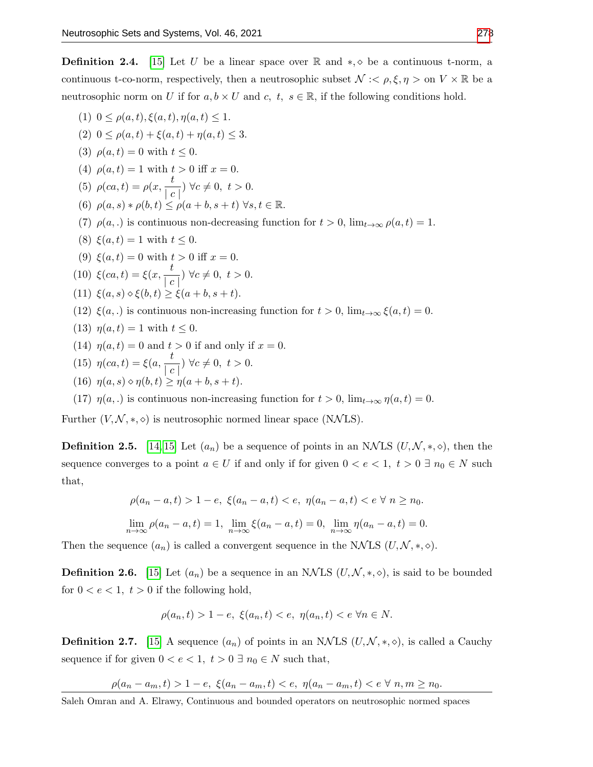**Definition 2.4.** [\[15\]](#page-13-12) Let U be a linear space over R and  $*, \diamond$  be a continuous t-norm, a continuous t-co-norm, respectively, then a neutrosophic subset  $\mathcal{N} \leq \rho, \xi, \eta > \text{on } V \times \mathbb{R}$  be a neutrosophic norm on U if for  $a, b \times U$  and  $c, t, s \in \mathbb{R}$ , if the following conditions hold.

- (1)  $0 \leq \rho(a, t), \xi(a, t), \eta(a, t) \leq 1.$
- (2)  $0 \leq \rho(a,t) + \xi(a,t) + \eta(a,t) \leq 3.$
- (3)  $\rho(a, t) = 0$  with  $t \le 0$ .
- (4)  $\rho(a, t) = 1$  with  $t > 0$  iff  $x = 0$ .
- (5)  $\rho(ca, t) = \rho(x, \frac{t}{t})$  $\frac{c}{|c|}$ )  $\forall c \neq 0, t > 0.$
- (6)  $\rho(a, s) * \rho(b, t) \leq \rho(a + b, s + t) \; \forall s, t \in \mathbb{R}$ .
- (7)  $\rho(a,.)$  is continuous non-decreasing function for  $t > 0$ ,  $\lim_{t \to \infty} \rho(a, t) = 1$ .
- (8)  $\xi(a, t) = 1$  with  $t \leq 0$ .
- (9)  $\xi(a, t) = 0$  with  $t > 0$  iff  $x = 0$ .
- (10)  $\xi(ca, t) = \xi(x, \frac{t}{t})$  $\frac{c}{|c|}$   $\forall c \neq 0, t > 0.$
- (11)  $\xi(a, s) \diamond \xi(b, t) \geq \xi(a + b, s + t).$
- (12)  $\xi(a,.)$  is continuous non-increasing function for  $t > 0$ ,  $\lim_{t \to \infty} \xi(a, t) = 0$ .
- (13)  $\eta(a,t) = 1$  with  $t \leq 0$ .
- (14)  $\eta(a,t) = 0$  and  $t > 0$  if and only if  $x = 0$ .
- (15)  $\eta(ca, t) = \xi(a, \frac{t}{t})$  $\frac{c}{|c|}$   $\forall c \neq 0, t > 0.$
- (16)  $\eta(a, s) \diamond \eta(b, t) \geq \eta(a + b, s + t).$
- (17)  $\eta(a,.)$  is continuous non-increasing function for  $t > 0$ ,  $\lim_{t \to \infty} \eta(a,t) = 0$ .

Further  $(V, \mathcal{N}, *, \diamond)$  is neutrosophic normed linear space (NNLS).

**Definition 2.5.** [\[14,](#page-13-11) [15\]](#page-13-12) Let  $(a_n)$  be a sequence of points in an NNLS  $(U, \mathcal{N}, *, \diamond)$ , then the sequence converges to a point  $a \in U$  if and only if for given  $0 < e < 1$ ,  $t > 0 \exists n_0 \in N$  such that,

$$
\rho(a_n - a, t) > 1 - e, \ \xi(a_n - a, t) < e, \ \eta(a_n - a, t) < e \ \forall \ n \ge n_0.
$$

$$
\lim_{n \to \infty} \rho(a_n - a, t) = 1, \ \lim_{n \to \infty} \xi(a_n - a, t) = 0, \ \lim_{n \to \infty} \eta(a_n - a, t) = 0.
$$

Then the sequence  $(a_n)$  is called a convergent sequence in the NNLS  $(U, \mathcal{N}, *, \diamond)$ .

**Definition 2.6.** [\[15\]](#page-13-12) Let  $(a_n)$  be a sequence in an NNLS  $(U, \mathcal{N}, *, \diamond)$ , is said to be bounded for  $0 < e < 1$ ,  $t > 0$  if the following hold,

$$
\rho(a_n, t) > 1 - e, \ \xi(a_n, t) < e, \ \eta(a_n, t) < e \ \forall n \in N.
$$

**Definition 2.7.** [\[15\]](#page-13-12) A sequence  $(a_n)$  of points in an NNLS  $(U, \mathcal{N}, *, \diamond)$ , is called a Cauchy sequence if for given  $0 < e < 1$ ,  $t > 0 \exists n_0 \in N$  such that,

$$
\rho(a_n - a_m, t) > 1 - e, \ \xi(a_n - a_m, t) < e, \ \eta(a_n - a_m, t) < e \ \forall \ n, m \ge n_0.
$$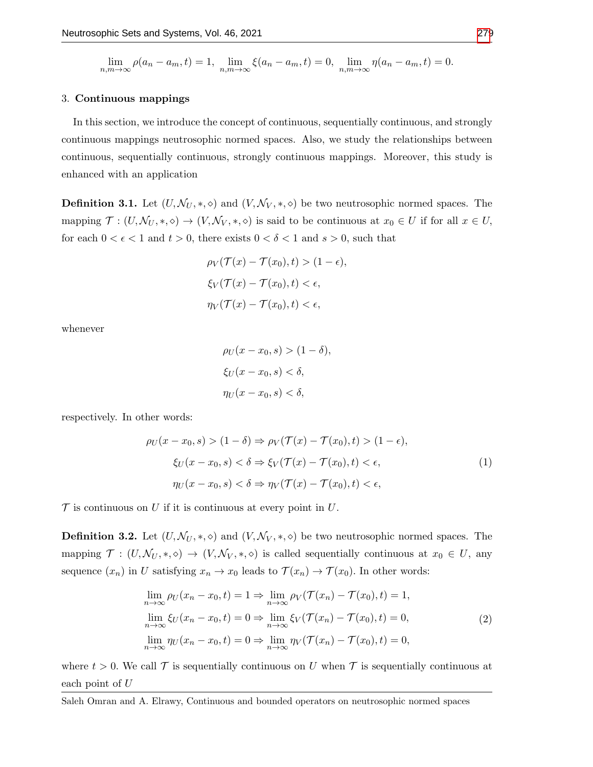$$
\lim_{n,m \to \infty} \rho(a_n - a_m, t) = 1, \ \lim_{n,m \to \infty} \xi(a_n - a_m, t) = 0, \ \lim_{n,m \to \infty} \eta(a_n - a_m, t) = 0.
$$

#### 3. Continuous mappings

In this section, we introduce the concept of continuous, sequentially continuous, and strongly continuous mappings neutrosophic normed spaces. Also, we study the relationships between continuous, sequentially continuous, strongly continuous mappings. Moreover, this study is enhanced with an application

**Definition 3.1.** Let  $(U, \mathcal{N}_U, *, \diamond)$  and  $(V, \mathcal{N}_V, *, \diamond)$  be two neutrosophic normed spaces. The mapping  $\mathcal{T} : (U, \mathcal{N}_U, *, \diamond) \to (V, \mathcal{N}_V, *, \diamond)$  is said to be continuous at  $x_0 \in U$  if for all  $x \in U$ , for each  $0 < \epsilon < 1$  and  $t > 0$ , there exists  $0 < \delta < 1$  and  $s > 0$ , such that

$$
\rho_V(\mathcal{T}(x) - \mathcal{T}(x_0), t) > (1 - \epsilon),
$$
\n
$$
\xi_V(\mathcal{T}(x) - \mathcal{T}(x_0), t) < \epsilon,
$$
\n
$$
\eta_V(\mathcal{T}(x) - \mathcal{T}(x_0), t) < \epsilon,
$$

whenever

$$
\rho_U(x - x_0, s) > (1 - \delta),
$$
\n
$$
\xi_U(x - x_0, s) < \delta,
$$
\n
$$
\eta_U(x - x_0, s) < \delta,
$$

respectively. In other words:

$$
\rho_U(x - x_0, s) > (1 - \delta) \Rightarrow \rho_V(\mathcal{T}(x) - \mathcal{T}(x_0), t) > (1 - \epsilon),
$$
\n
$$
\xi_U(x - x_0, s) < \delta \Rightarrow \xi_V(\mathcal{T}(x) - \mathcal{T}(x_0), t) < \epsilon,
$$
\n
$$
\eta_U(x - x_0, s) < \delta \Rightarrow \eta_V(\mathcal{T}(x) - \mathcal{T}(x_0), t) < \epsilon,
$$
\n
$$
(1)
$$

 $\mathcal T$  is continuous on U if it is continuous at every point in U.

**Definition 3.2.** Let  $(U, \mathcal{N}_U, *, \diamond)$  and  $(V, \mathcal{N}_V, *, \diamond)$  be two neutrosophic normed spaces. The mapping  $\mathcal{T}$  :  $(U, \mathcal{N}_U, *, \diamond) \to (V, \mathcal{N}_V, *, \diamond)$  is called sequentially continuous at  $x_0 \in U$ , any sequence  $(x_n)$  in U satisfying  $x_n \to x_0$  leads to  $\mathcal{T}(x_n) \to \mathcal{T}(x_0)$ . In other words:

$$
\lim_{n \to \infty} \rho_U(x_n - x_0, t) = 1 \Rightarrow \lim_{n \to \infty} \rho_V(\mathcal{T}(x_n) - \mathcal{T}(x_0), t) = 1,
$$
\n
$$
\lim_{n \to \infty} \xi_U(x_n - x_0, t) = 0 \Rightarrow \lim_{n \to \infty} \xi_V(\mathcal{T}(x_n) - \mathcal{T}(x_0), t) = 0,
$$
\n
$$
\lim_{n \to \infty} \eta_U(x_n - x_0, t) = 0 \Rightarrow \lim_{n \to \infty} \eta_V(\mathcal{T}(x_n) - \mathcal{T}(x_0), t) = 0,
$$
\n(2)

where  $t > 0$ . We call  $\mathcal T$  is sequentially continuous on U when  $\mathcal T$  is sequentially continuous at each point of U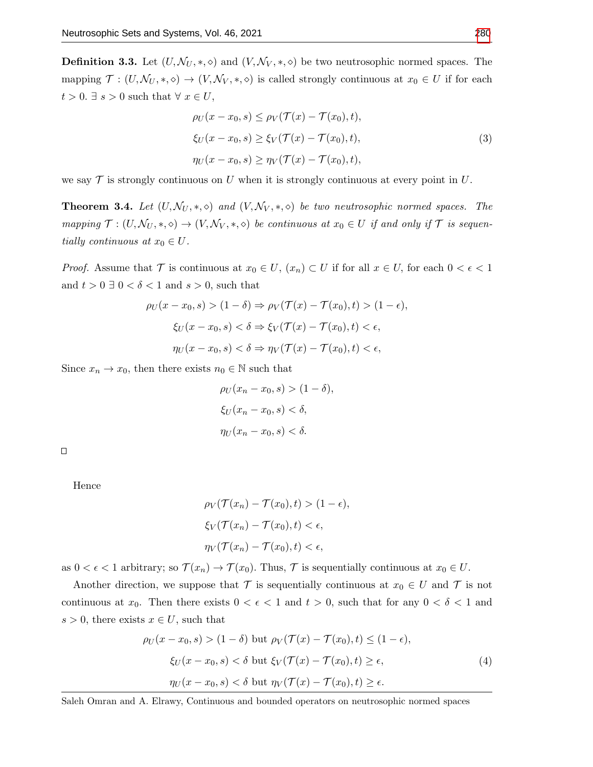**Definition 3.3.** Let  $(U, \mathcal{N}_U, *, \diamond)$  and  $(V, \mathcal{N}_V, *, \diamond)$  be two neutrosophic normed spaces. The mapping  $\mathcal{T} : (U, \mathcal{N}_U, *, \diamond) \to (V, \mathcal{N}_V, *, \diamond)$  is called strongly continuous at  $x_0 \in U$  if for each  $t>0.$   $\exists$   $s>0$  such that  $\forall$   $x\in U,$ 

$$
\rho_U(x - x_0, s) \le \rho_V(\mathcal{T}(x) - \mathcal{T}(x_0), t),
$$
  
\n
$$
\xi_U(x - x_0, s) \ge \xi_V(\mathcal{T}(x) - \mathcal{T}(x_0), t),
$$
  
\n
$$
\eta_U(x - x_0, s) \ge \eta_V(\mathcal{T}(x) - \mathcal{T}(x_0), t),
$$
\n(3)

<span id="page-4-1"></span>we say  $\mathcal T$  is strongly continuous on U when it is strongly continuous at every point in U.

**Theorem 3.4.** Let  $(U, \mathcal{N}_U, *, \diamond)$  and  $(V, \mathcal{N}_V, *, \diamond)$  be two neutrosophic normed spaces. The mapping  $\mathcal{T} : (U, \mathcal{N}_U, *, \diamond) \to (V, \mathcal{N}_V, *, \diamond)$  be continuous at  $x_0 \in U$  if and only if  $\mathcal{T}$  is sequentially continuous at  $x_0 \in U$ .

*Proof.* Assume that  $\mathcal T$  is continuous at  $x_0 \in U$ ,  $(x_n) \subset U$  if for all  $x \in U$ , for each  $0 < \epsilon < 1$ and  $t > 0 \exists 0 < \delta < 1$  and  $s > 0$ , such that

$$
\rho_U(x - x_0, s) > (1 - \delta) \Rightarrow \rho_V(\mathcal{T}(x) - \mathcal{T}(x_0), t) > (1 - \epsilon),
$$
\n
$$
\xi_U(x - x_0, s) < \delta \Rightarrow \xi_V(\mathcal{T}(x) - \mathcal{T}(x_0), t) < \epsilon,
$$
\n
$$
\eta_U(x - x_0, s) < \delta \Rightarrow \eta_V(\mathcal{T}(x) - \mathcal{T}(x_0), t) < \epsilon,
$$

Since  $x_n \to x_0$ , then there exists  $n_0 \in \mathbb{N}$  such that

$$
\rho_U(x_n - x_0, s) > (1 - \delta),
$$
\n
$$
\xi_U(x_n - x_0, s) < \delta,
$$
\n
$$
\eta_U(x_n - x_0, s) < \delta.
$$

 $\Box$ 

Hence

$$
\rho_V(\mathcal{T}(x_n) - \mathcal{T}(x_0), t) > (1 - \epsilon),
$$
\n
$$
\xi_V(\mathcal{T}(x_n) - \mathcal{T}(x_0), t) < \epsilon,
$$
\n
$$
\eta_V(\mathcal{T}(x_n) - \mathcal{T}(x_0), t) < \epsilon,
$$

as  $0 < \epsilon < 1$  arbitrary; so  $\mathcal{T}(x_n) \to \mathcal{T}(x_0)$ . Thus,  $\mathcal{T}$  is sequentially continuous at  $x_0 \in U$ .

Another direction, we suppose that  $\mathcal T$  is sequentially continuous at  $x_0 \in U$  and  $\mathcal T$  is not continuous at  $x_0$ . Then there exists  $0 < \epsilon < 1$  and  $t > 0$ , such that for any  $0 < \delta < 1$  and  $s > 0$ , there exists  $x \in U$ , such that

$$
\rho_U(x - x_0, s) > (1 - \delta) \text{ but } \rho_V(\mathcal{T}(x) - \mathcal{T}(x_0), t) \le (1 - \epsilon),
$$
\n
$$
\xi_U(x - x_0, s) < \delta \text{ but } \xi_V(\mathcal{T}(x) - \mathcal{T}(x_0), t) \ge \epsilon,
$$
\n
$$
\eta_U(x - x_0, s) < \delta \text{ but } \eta_V(\mathcal{T}(x) - \mathcal{T}(x_0), t) \ge \epsilon.
$$
\n
$$
(4)
$$

<span id="page-4-0"></span>Saleh Omran and A. Elrawy, Continuous and bounded operators on neutrosophic normed spaces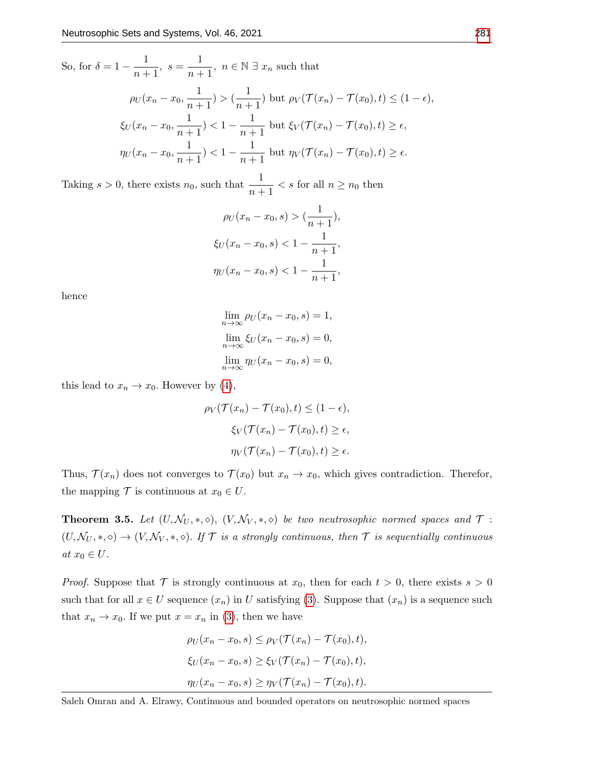So, for  $\delta = 1 - \frac{1}{\epsilon}$  $\frac{1}{n+1}$ ,  $s = \frac{1}{n+1}$  $\frac{1}{n+1}$ ,  $n \in \mathbb{N}$   $\exists$   $x_n$  such that  $\rho_U(x_n-x_0,\frac{1}{\cdots})$  $\frac{1}{n+1}$ ) >  $\left(\frac{1}{n+1}\right)$  $\frac{1}{n+1}$ ) but  $\rho_V(\mathcal{T}(x_n)-\mathcal{T}(x_0),t)\leq (1-\epsilon),$  $\xi_U(x_n-x_0,\frac{1}{n-1})$  $\frac{1}{n+1}$ ) < 1 -  $\frac{1}{n+1}$  $\frac{1}{n+1}$  but  $\xi_V(\mathcal{T}(x_n)-\mathcal{T}(x_0),t)\geq \epsilon,$  $\eta_U(x_n-x_0,\frac{1}{x_0-x_0})$  $\frac{1}{n+1}$ ) < 1 -  $\frac{1}{n+1}$  $\frac{1}{n+1}$  but  $\eta_V(\mathcal{T}(x_n)-\mathcal{T}(x_0),t)\geq \epsilon.$ 

Taking  $s > 0$ , there exists  $n_0$ , such that  $\frac{1}{n+1} < s$  for all  $n \ge n_0$  then

$$
\rho_U(x_n - x_0, s) > \left(\frac{1}{n+1}\right),
$$
\n
$$
\xi_U(x_n - x_0, s) < 1 - \frac{1}{n+1},
$$
\n
$$
\eta_U(x_n - x_0, s) < 1 - \frac{1}{n+1},
$$

hence

$$
\lim_{n \to \infty} \rho_U(x_n - x_0, s) = 1,
$$
  

$$
\lim_{n \to \infty} \xi_U(x_n - x_0, s) = 0,
$$
  

$$
\lim_{n \to \infty} \eta_U(x_n - x_0, s) = 0,
$$

this lead to  $x_n \to x_0$ . However by [\(4\)](#page-4-0),

$$
\rho_V(\mathcal{T}(x_n) - \mathcal{T}(x_0), t) \le (1 - \epsilon),
$$
  

$$
\xi_V(\mathcal{T}(x_n) - \mathcal{T}(x_0), t) \ge \epsilon,
$$
  

$$
\eta_V(\mathcal{T}(x_n) - \mathcal{T}(x_0), t) \ge \epsilon.
$$

Thus,  $\mathcal{T}(x_n)$  does not converges to  $\mathcal{T}(x_0)$  but  $x_n \to x_0$ , which gives contradiction. Therefor, the mapping  $\mathcal T$  is continuous at  $x_0 \in U$ .

<span id="page-5-0"></span>**Theorem 3.5.** Let  $(U, \mathcal{N}_U, *, \diamond), (V, \mathcal{N}_V, *, \diamond)$  be two neutrosophic normed spaces and  $\mathcal{T}$ :  $(U, \mathcal{N}_U, *, \diamond) \to (V, \mathcal{N}_V, *, \diamond)$ . If T is a strongly continuous, then T is sequentially continuous at  $x_0 \in U$ .

*Proof.* Suppose that  $\mathcal T$  is strongly continuous at  $x_0$ , then for each  $t > 0$ , there exists  $s > 0$ such that for all  $x \in U$  sequence  $(x_n)$  in U satisfying [\(3\)](#page-4-1). Suppose that  $(x_n)$  is a sequence such that  $x_n \to x_0$ . If we put  $x = x_n$  in [\(3\)](#page-4-1), then we have

$$
\rho_U(x_n - x_0, s) \leq \rho_V(\mathcal{T}(x_n) - \mathcal{T}(x_0), t),
$$
  

$$
\xi_U(x_n - x_0, s) \geq \xi_V(\mathcal{T}(x_n) - \mathcal{T}(x_0), t),
$$
  

$$
\eta_U(x_n - x_0, s) \geq \eta_V(\mathcal{T}(x_n) - \mathcal{T}(x_0), t).
$$

Saleh Omran and A. Elrawy, Continuous and bounded operators on neutrosophic normed spaces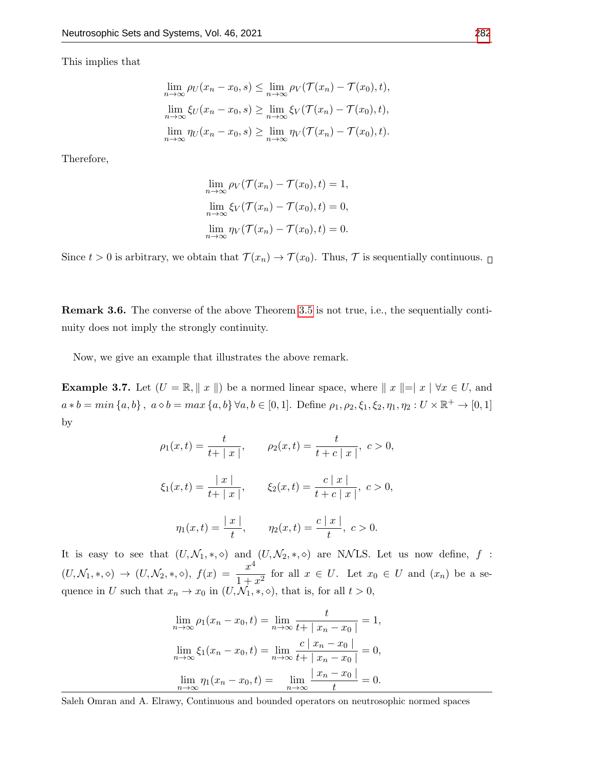This implies that

$$
\lim_{n \to \infty} \rho_U(x_n - x_0, s) \leq \lim_{n \to \infty} \rho_V(\mathcal{T}(x_n) - \mathcal{T}(x_0), t),
$$
  

$$
\lim_{n \to \infty} \xi_U(x_n - x_0, s) \geq \lim_{n \to \infty} \xi_V(\mathcal{T}(x_n) - \mathcal{T}(x_0), t),
$$
  

$$
\lim_{n \to \infty} \eta_U(x_n - x_0, s) \geq \lim_{n \to \infty} \eta_V(\mathcal{T}(x_n) - \mathcal{T}(x_0), t).
$$

Therefore,

$$
\lim_{n \to \infty} \rho_V(\mathcal{T}(x_n) - \mathcal{T}(x_0), t) = 1,
$$
  
\n
$$
\lim_{n \to \infty} \xi_V(\mathcal{T}(x_n) - \mathcal{T}(x_0), t) = 0,
$$
  
\n
$$
\lim_{n \to \infty} \eta_V(\mathcal{T}(x_n) - \mathcal{T}(x_0), t) = 0.
$$

Since  $t > 0$  is arbitrary, we obtain that  $\mathcal{T}(x_n) \to \mathcal{T}(x_0)$ . Thus,  $\mathcal{T}$  is sequentially continuous.  $\Box$ 

Remark 3.6. The converse of the above Theorem [3.5](#page-5-0) is not true, i.e., the sequentially continuity does not imply the strongly continuity.

Now, we give an example that illustrates the above remark.

**Example 3.7.** Let  $(U = \mathbb{R}, ||x||)$  be a normed linear space, where  $||x||=|x| \forall x \in U$ , and  $a * b = min \{a, b\}, a \diamond b = max \{a, b\} \forall a, b \in [0, 1].$  Define  $\rho_1, \rho_2, \xi_1, \xi_2, \eta_1, \eta_2 : U \times \mathbb{R}^+ \to [0, 1]$ by

$$
\rho_1(x,t) = \frac{t}{t+|x|}, \qquad \rho_2(x,t) = \frac{t}{t+c|x|}, \quad c > 0,
$$
  

$$
\xi_1(x,t) = \frac{|x|}{t+|x|}, \qquad \xi_2(x,t) = \frac{c|x|}{t+c|x|}, \quad c > 0,
$$
  

$$
\eta_1(x,t) = \frac{|x|}{t}, \qquad \eta_2(x,t) = \frac{c|x|}{t}, \quad c > 0.
$$

It is easy to see that  $(U, \mathcal{N}_1, *, \diamond)$  and  $(U, \mathcal{N}_2, *, \diamond)$  are NNLS. Let us now define, f:  $(U, \mathcal{N}_1, \ast, \diamond) \rightarrow (U, \mathcal{N}_2, \ast, \diamond), f(x) = \frac{x^4}{1+x^4}$  $\frac{x}{1+x^2}$  for all  $x \in U$ . Let  $x_0 \in U$  and  $(x_n)$  be a sequence in U such that  $x_n \to x_0$  in  $(U, \mathcal{N}_1, \ast, \diamond)$ , that is, for all  $t > 0$ ,

$$
\lim_{n \to \infty} \rho_1(x_n - x_0, t) = \lim_{n \to \infty} \frac{t}{t + |x_n - x_0|} = 1,
$$
  

$$
\lim_{n \to \infty} \xi_1(x_n - x_0, t) = \lim_{n \to \infty} \frac{c |x_n - x_0|}{t + |x_n - x_0|} = 0,
$$
  

$$
\lim_{n \to \infty} \eta_1(x_n - x_0, t) = \lim_{n \to \infty} \frac{|x_n - x_0|}{t} = 0.
$$

Saleh Omran and A. Elrawy, Continuous and bounded operators on neutrosophic normed spaces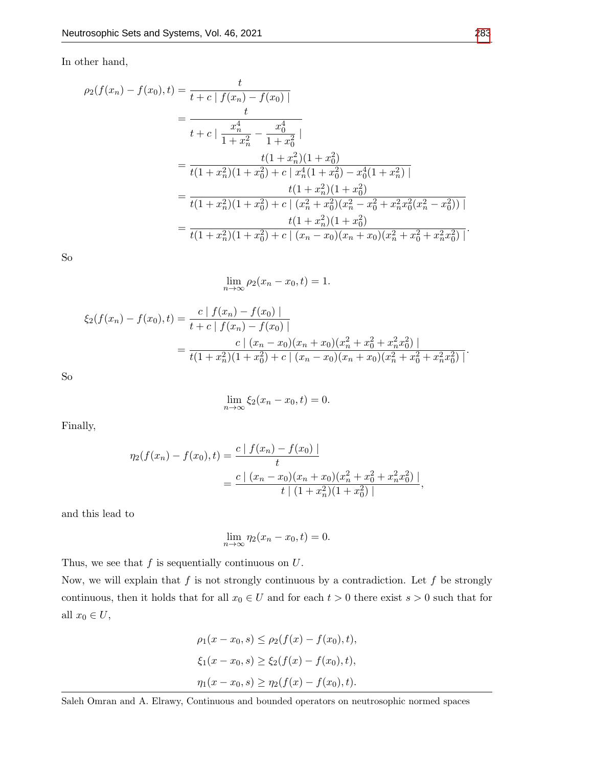In other hand,

$$
\rho_2(f(x_n) - f(x_0), t) = \frac{t}{t + c \mid f(x_n) - f(x_0) \mid}
$$
\n
$$
= \frac{t}{t + c \mid \frac{x_n^4}{1 + x_n^2} - \frac{x_0^4}{1 + x_0^2} \mid}
$$
\n
$$
= \frac{t(1 + x_n^2)(1 + x_0^2)}{t(1 + x_n^2)(1 + x_0^2) + c \mid x_n^4(1 + x_0^2) - x_0^4(1 + x_n^2) \mid}
$$
\n
$$
= \frac{t(1 + x_n^2)(1 + x_0^2)}{t(1 + x_n^2)(1 + x_0^2) + c \mid (x_n^2 + x_0^2)(x_n^2 - x_0^2 + x_n^2 x_0^2(x_n^2 - x_0^2)) \mid}
$$
\n
$$
= \frac{t(1 + x_n^2)(1 + x_0^2)}{t(1 + x_n^2)(1 + x_0^2) + c \mid (x_n - x_0)(x_n + x_0)(x_n^2 + x_0^2 + x_n^2 x_0^2) \mid}.
$$

So

$$
\lim_{n \to \infty} \rho_2(x_n - x_0, t) = 1.
$$

$$
\xi_2(f(x_n) - f(x_0), t) = \frac{c |f(x_n) - f(x_0)|}{t + c |f(x_n) - f(x_0)|}
$$
  
= 
$$
\frac{c |(x_n - x_0)(x_n + x_0)(x_n^2 + x_0^2 + x_n^2 x_0^2)|}{t(1 + x_n^2)(1 + x_0^2) + c |(x_n - x_0)(x_n + x_0)(x_n^2 + x_0^2 + x_n^2 x_0^2)|}
$$

So

$$
\lim_{n \to \infty} \xi_2(x_n - x_0, t) = 0.
$$

Finally,

$$
\eta_2(f(x_n) - f(x_0), t) = \frac{c \mid f(x_n) - f(x_0) \mid}{t}
$$

$$
= \frac{c \mid (x_n - x_0)(x_n + x_0)(x_n^2 + x_0^2 + x_n^2 x_0^2) \mid}{t \mid (1 + x_n^2)(1 + x_0^2) \mid},
$$

and this lead to

$$
\lim_{n \to \infty} \eta_2(x_n - x_0, t) = 0.
$$

Thus, we see that  $f$  is sequentially continuous on  $U$ .

Now, we will explain that  $f$  is not strongly continuous by a contradiction. Let  $f$  be strongly continuous, then it holds that for all  $x_0 \in U$  and for each  $t > 0$  there exist  $s > 0$  such that for all  $x_0\in U,$ 

$$
\rho_1(x - x_0, s) \le \rho_2(f(x) - f(x_0), t),
$$
  
\n
$$
\xi_1(x - x_0, s) \ge \xi_2(f(x) - f(x_0), t),
$$
  
\n
$$
\eta_1(x - x_0, s) \ge \eta_2(f(x) - f(x_0), t).
$$

Saleh Omran and A. Elrawy, Continuous and bounded operators on neutrosophic normed spaces

.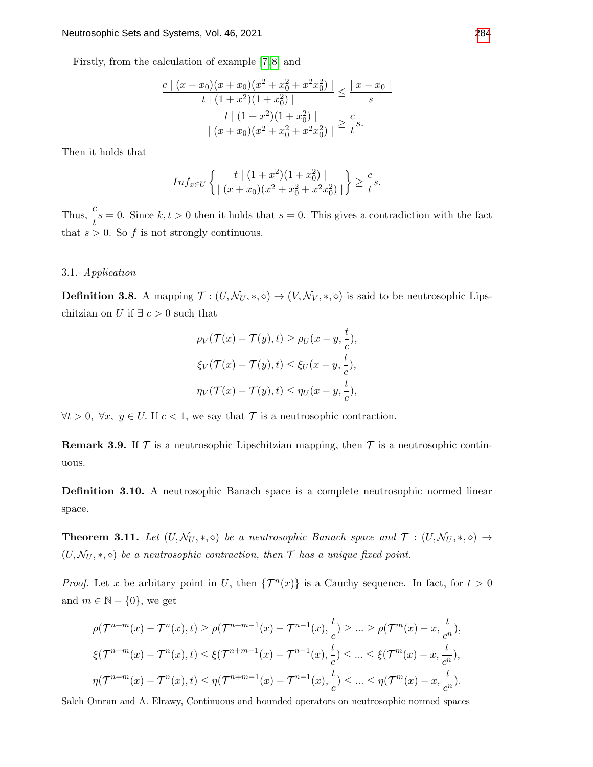Firstly, from the calculation of example [\[7,](#page-13-7) [8\]](#page-13-13) and

$$
\frac{c \mid (x-x_0)(x+x_0)(x^2+x_0^2+x^2x_0^2) \mid}{t \mid (1+x^2)(1+x_0^2) \mid} \le \frac{|x-x_0|}{s}
$$

$$
\frac{t \mid (1+x^2)(1+x_0^2) \mid}{| (x+x_0)(x^2+x_0^2+x^2x_0^2) \mid} \ge \frac{c}{t}s.
$$

Then it holds that

$$
Inf_{x \in U} \left\{ \frac{t \mid (1+x^2)(1+x_0^2) \mid}{\mid (x+x_0)(x^2+x_0^2+x^2x_0^2) \mid} \right\} \ge \frac{c}{t} s.
$$

Thus,  $\frac{c}{t}s = 0$ . Since  $k, t > 0$  then it holds that  $s = 0$ . This gives a contradiction with the fact that  $s > 0$ . So f is not strongly continuous.

#### 3.1. Application

**Definition 3.8.** A mapping  $\mathcal{T} : (U, \mathcal{N}_U, *, \diamond) \to (V, \mathcal{N}_V, *, \diamond)$  is said to be neutrosophic Lipschitzian on U if  $\exists c > 0$  such that

$$
\rho_V(\mathcal{T}(x) - \mathcal{T}(y), t) \ge \rho_U(x - y, \frac{t}{c}),
$$
  

$$
\xi_V(\mathcal{T}(x) - \mathcal{T}(y), t) \le \xi_U(x - y, \frac{t}{c}),
$$
  

$$
\eta_V(\mathcal{T}(x) - \mathcal{T}(y), t) \le \eta_U(x - y, \frac{t}{c}),
$$

 $\forall t > 0, \ \forall x, y \in U$ . If  $c < 1$ , we say that  $\mathcal T$  is a neutrosophic contraction.

**Remark 3.9.** If  $\mathcal T$  is a neutrosophic Lipschitzian mapping, then  $\mathcal T$  is a neutrosophic continuous.

Definition 3.10. A neutrosophic Banach space is a complete neutrosophic normed linear space.

**Theorem 3.11.** Let  $(U, \mathcal{N}_U, *, \diamond)$  be a neutrosophic Banach space and  $\mathcal{T} : (U, \mathcal{N}_U, *, \diamond) \rightarrow$  $(U, \mathcal{N}_U, *, \diamond)$  be a neutrosophic contraction, then  $\mathcal T$  has a unique fixed point.

*Proof.* Let x be arbitary point in U, then  $\{\mathcal{T}^n(x)\}\$ is a Cauchy sequence. In fact, for  $t > 0$ and  $m \in \mathbb{N} - \{0\}$ , we get

$$
\rho(\mathcal{T}^{n+m}(x) - \mathcal{T}^{n}(x), t) \ge \rho(\mathcal{T}^{n+m-1}(x) - \mathcal{T}^{n-1}(x), \frac{t}{c}) \ge \dots \ge \rho(\mathcal{T}^{m}(x) - x, \frac{t}{c^{n}}),
$$
  

$$
\xi(\mathcal{T}^{n+m}(x) - \mathcal{T}^{n}(x), t) \le \xi(\mathcal{T}^{n+m-1}(x) - \mathcal{T}^{n-1}(x), \frac{t}{c}) \le \dots \le \xi(\mathcal{T}^{m}(x) - x, \frac{t}{c^{n}}),
$$
  

$$
\eta(\mathcal{T}^{n+m}(x) - \mathcal{T}^{n}(x), t) \le \eta(\mathcal{T}^{n+m-1}(x) - \mathcal{T}^{n-1}(x), \frac{t}{c}) \le \dots \le \eta(\mathcal{T}^{m}(x) - x, \frac{t}{c^{n}}).
$$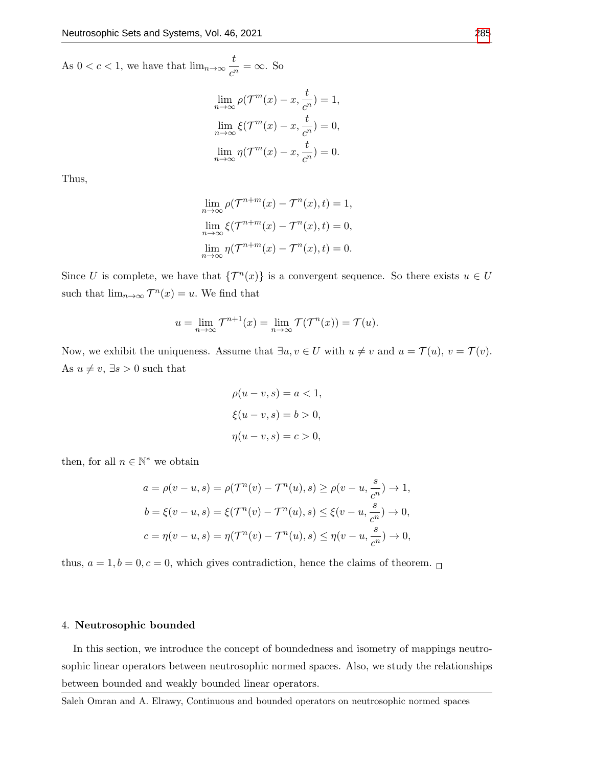As  $0 < c < 1$ , we have that  $\lim_{n \to \infty} \frac{t}{n}$  $\frac{c}{c^n} = \infty$ . So

$$
\lim_{n \to \infty} \rho(\mathcal{T}^m(x) - x, \frac{t}{c^n}) = 1,
$$
  

$$
\lim_{n \to \infty} \xi(\mathcal{T}^m(x) - x, \frac{t}{c^n}) = 0,
$$
  

$$
\lim_{n \to \infty} \eta(\mathcal{T}^m(x) - x, \frac{t}{c^n}) = 0.
$$

Thus,

$$
\lim_{n \to \infty} \rho(\mathcal{T}^{n+m}(x) - \mathcal{T}^n(x), t) = 1,
$$
  
\n
$$
\lim_{n \to \infty} \xi(\mathcal{T}^{n+m}(x) - \mathcal{T}^n(x), t) = 0,
$$
  
\n
$$
\lim_{n \to \infty} \eta(\mathcal{T}^{n+m}(x) - \mathcal{T}^n(x), t) = 0.
$$

Since U is complete, we have that  $\{\mathcal{T}^n(x)\}\$ is a convergent sequence. So there exists  $u \in U$ such that  $\lim_{n\to\infty} \mathcal{T}^n(x) = u$ . We find that

$$
u = \lim_{n \to \infty} \mathcal{T}^{n+1}(x) = \lim_{n \to \infty} \mathcal{T}(\mathcal{T}^n(x)) = \mathcal{T}(u).
$$

Now, we exhibit the uniqueness. Assume that  $\exists u, v \in U$  with  $u \neq v$  and  $u = \mathcal{T}(u), v = \mathcal{T}(v)$ . As  $u \neq v$ ,  $\exists s > 0$  such that

$$
\rho(u - v, s) = a < 1,
$$
\n
$$
\xi(u - v, s) = b > 0,
$$
\n
$$
\eta(u - v, s) = c > 0,
$$

then, for all  $n \in \mathbb{N}^*$  we obtain

$$
a = \rho(v - u, s) = \rho(\mathcal{T}^n(v) - \mathcal{T}^n(u), s) \ge \rho(v - u, \frac{s}{c^n}) \to 1,
$$
  
\n
$$
b = \xi(v - u, s) = \xi(\mathcal{T}^n(v) - \mathcal{T}^n(u), s) \le \xi(v - u, \frac{s}{c^n}) \to 0,
$$
  
\n
$$
c = \eta(v - u, s) = \eta(\mathcal{T}^n(v) - \mathcal{T}^n(u), s) \le \eta(v - u, \frac{s}{c^n}) \to 0,
$$

thus,  $a = 1, b = 0, c = 0$ , which gives contradiction, hence the claims of theorem.  $\Box$ 

# 4. Neutrosophic bounded

In this section, we introduce the concept of boundedness and isometry of mappings neutrosophic linear operators between neutrosophic normed spaces. Also, we study the relationships between bounded and weakly bounded linear operators.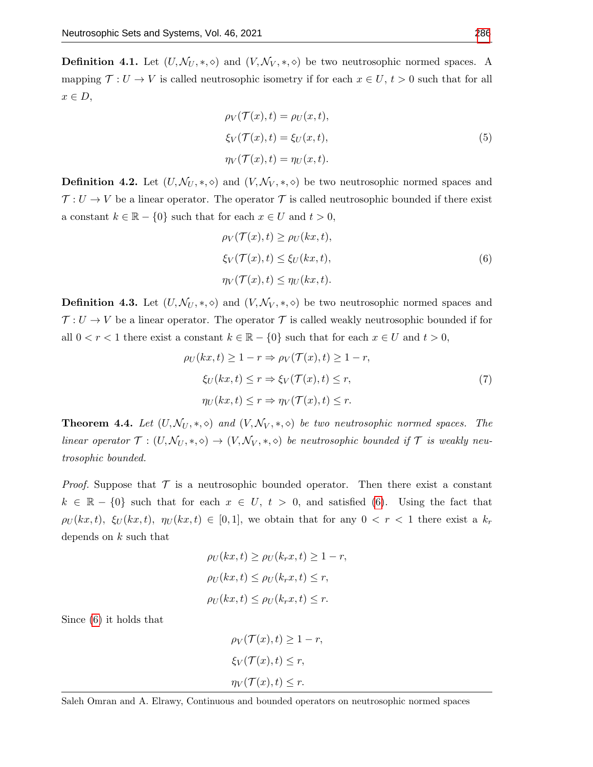**Definition 4.1.** Let  $(U, \mathcal{N}_U, *, \diamond)$  and  $(V, \mathcal{N}_V, *, \diamond)$  be two neutrosophic normed spaces. A mapping  $\mathcal{T}: U \to V$  is called neutrosophic isometry if for each  $x \in U$ ,  $t > 0$  such that for all  $x \in D$ ,

$$
\rho_V(\mathcal{T}(x), t) = \rho_U(x, t),
$$
  
\n
$$
\xi_V(\mathcal{T}(x), t) = \xi_U(x, t),
$$
  
\n
$$
\eta_V(\mathcal{T}(x), t) = \eta_U(x, t).
$$
\n(5)

**Definition 4.2.** Let  $(U, \mathcal{N}_U, *, \diamond)$  and  $(V, \mathcal{N}_V, *, \diamond)$  be two neutrosophic normed spaces and  $\mathcal{T}: U \to V$  be a linear operator. The operator  $\mathcal T$  is called neutrosophic bounded if there exist a constant  $k \in \mathbb{R} - \{0\}$  such that for each  $x \in U$  and  $t > 0$ ,

$$
\rho_V(\mathcal{T}(x), t) \ge \rho_U(kx, t),
$$
  
\n
$$
\xi_V(\mathcal{T}(x), t) \le \xi_U(kx, t),
$$
  
\n
$$
\eta_V(\mathcal{T}(x), t) \le \eta_U(kx, t).
$$
\n(6)

<span id="page-10-0"></span>**Definition 4.3.** Let  $(U, \mathcal{N}_U, *, \diamond)$  and  $(V, \mathcal{N}_V, *, \diamond)$  be two neutrosophic normed spaces and  $\mathcal{T}: U \to V$  be a linear operator. The operator  $\mathcal T$  is called weakly neutrosophic bounded if for all  $0 < r < 1$  there exist a constant  $k \in \mathbb{R} - \{0\}$  such that for each  $x \in U$  and  $t > 0$ ,

$$
\rho_U(kx, t) \ge 1 - r \Rightarrow \rho_V(\mathcal{T}(x), t) \ge 1 - r,
$$
  
\n
$$
\xi_U(kx, t) \le r \Rightarrow \xi_V(\mathcal{T}(x), t) \le r,
$$
  
\n
$$
\eta_U(kx, t) \le r \Rightarrow \eta_V(\mathcal{T}(x), t) \le r.
$$
\n(7)

**Theorem 4.4.** Let  $(U, \mathcal{N}_U, *, \diamond)$  and  $(V, \mathcal{N}_V, *, \diamond)$  be two neutrosophic normed spaces. The linear operator  $\mathcal{T} : (U, \mathcal{N}_U, *, \diamond) \to (V, \mathcal{N}_V, *, \diamond)$  be neutrosophic bounded if  $\mathcal T$  is weakly neutrosophic bounded.

*Proof.* Suppose that  $\mathcal T$  is a neutrosophic bounded operator. Then there exist a constant  $k \in \mathbb{R} - \{0\}$  such that for each  $x \in U$ ,  $t > 0$ , and satisfied [\(6\)](#page-10-0). Using the fact that  $\rho_U(kx, t)$ ,  $\xi_U(kx, t)$ ,  $\eta_U(kx, t) \in [0, 1]$ , we obtain that for any  $0 < r < 1$  there exist a  $k_r$ depends on  $k$  such that

$$
\rho_U(kx, t) \ge \rho_U(k_rx, t) \ge 1 - r,
$$
  
\n
$$
\rho_U(kx, t) \le \rho_U(k_rx, t) \le r,
$$
  
\n
$$
\rho_U(kx, t) \le \rho_U(k_rx, t) \le r.
$$

Since [\(6\)](#page-10-0) it holds that

$$
\rho_V(\mathcal{T}(x), t) \ge 1 - r,
$$
  
\n
$$
\xi_V(\mathcal{T}(x), t) \le r,
$$
  
\n
$$
\eta_V(\mathcal{T}(x), t) \le r.
$$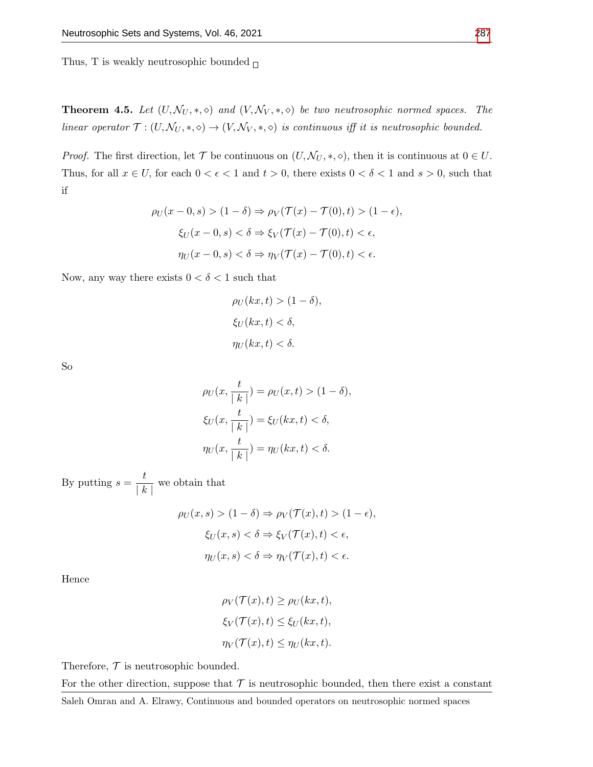Thus, T is weakly neutrosophic bounded  $_\square$ 

**Theorem 4.5.** Let  $(U, \mathcal{N}_U, *, \diamond)$  and  $(V, \mathcal{N}_V, *, \diamond)$  be two neutrosophic normed spaces. The linear operator  $\mathcal{T} : (U, \mathcal{N}_U, *, \diamond) \to (V, \mathcal{N}_V, *, \diamond)$  is continuous iff it is neutrosophic bounded.

*Proof.* The first direction, let  $\mathcal{T}$  be continuous on  $(U, \mathcal{N}_U, *, \diamond)$ , then it is continuous at  $0 \in U$ . Thus, for all  $x \in U$ , for each  $0 < \epsilon < 1$  and  $t > 0$ , there exists  $0 < \delta < 1$  and  $s > 0$ , such that if

$$
\rho_U(x - 0, s) > (1 - \delta) \Rightarrow \rho_V(\mathcal{T}(x) - \mathcal{T}(0), t) > (1 - \epsilon),
$$
\n
$$
\xi_U(x - 0, s) < \delta \Rightarrow \xi_V(\mathcal{T}(x) - \mathcal{T}(0), t) < \epsilon,
$$
\n
$$
\eta_U(x - 0, s) < \delta \Rightarrow \eta_V(\mathcal{T}(x) - \mathcal{T}(0), t) < \epsilon.
$$

Now, any way there exists  $0 < \delta < 1$  such that

$$
\rho_U(kx, t) > (1 - \delta),
$$
\n
$$
\xi_U(kx, t) < \delta,
$$
\n
$$
\eta_U(kx, t) < \delta.
$$

So

$$
\rho_U(x, \frac{t}{|k|}) = \rho_U(x, t) > (1 - \delta),
$$
\n
$$
\xi_U(x, \frac{t}{|k|}) = \xi_U(kx, t) < \delta,
$$
\n
$$
\eta_U(x, \frac{t}{|k|}) = \eta_U(kx, t) < \delta.
$$

By putting  $s = \frac{t}{1}$  $\frac{c}{|k|}$  we obtain that

$$
\rho_U(x, s) > (1 - \delta) \Rightarrow \rho_V(\mathcal{T}(x), t) > (1 - \epsilon),
$$
\n
$$
\xi_U(x, s) < \delta \Rightarrow \xi_V(\mathcal{T}(x), t) < \epsilon,
$$
\n
$$
\eta_U(x, s) < \delta \Rightarrow \eta_V(\mathcal{T}(x), t) < \epsilon.
$$

Hence

$$
\rho_V(\mathcal{T}(x), t) \ge \rho_U(kx, t),
$$
  

$$
\xi_V(\mathcal{T}(x), t) \le \xi_U(kx, t),
$$
  

$$
\eta_V(\mathcal{T}(x), t) \le \eta_U(kx, t).
$$

Therefore,  $\mathcal T$  is neutrosophic bounded.

For the other direction, suppose that  $\mathcal T$  is neutrosophic bounded, then there exist a constant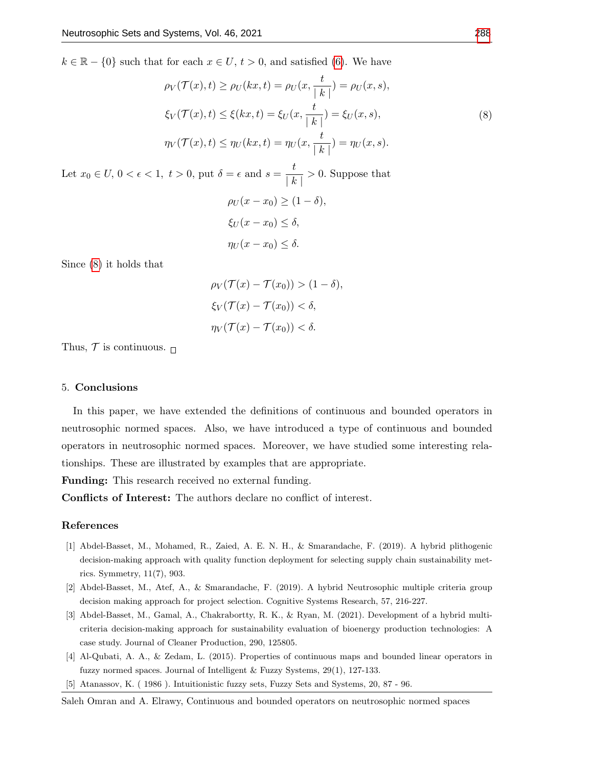<span id="page-12-4"></span> $k \in \mathbb{R} - \{0\}$  such that for each  $x \in U, t > 0$ , and satisfied [\(6\)](#page-10-0). We have

$$
\rho_V(\mathcal{T}(x), t) \ge \rho_U(kx, t) = \rho_U(x, \frac{t}{|k|}) = \rho_U(x, s),
$$
  
\n
$$
\xi_V(\mathcal{T}(x), t) \le \xi(kx, t) = \xi_U(x, \frac{t}{|k|}) = \xi_U(x, s),
$$
  
\n
$$
\eta_V(\mathcal{T}(x), t) \le \eta_U(kx, t) = \eta_U(x, \frac{t}{|k|}) = \eta_U(x, s).
$$
\n(8)

Let  $x_0 \in U$ ,  $0 < \epsilon < 1$ ,  $t > 0$ , put  $\delta = \epsilon$  and  $s = \frac{t}{1 - \epsilon}$  $\frac{v}{|k|} > 0$ . Suppose that

$$
\rho_U(x - x_0) \ge (1 - \delta),
$$
  
\n
$$
\xi_U(x - x_0) \le \delta,
$$
  
\n
$$
\eta_U(x - x_0) \le \delta.
$$

Since [\(8\)](#page-12-4) it holds that

 $\rho_V(\mathcal{T}(x) - \mathcal{T}(x_0)) > (1 - \delta),$  $\xi_V(\mathcal{T}(x) - \mathcal{T}(x_0)) < \delta$ ,  $\eta_V(\mathcal{T}(x) - \mathcal{T}(x_0)) < \delta.$ 

Thus,  $\mathcal T$  is continuous.  $\Box$ 

#### 5. Conclusions

In this paper, we have extended the definitions of continuous and bounded operators in neutrosophic normed spaces. Also, we have introduced a type of continuous and bounded operators in neutrosophic normed spaces. Moreover, we have studied some interesting relationships. These are illustrated by examples that are appropriate.

Funding: This research received no external funding.

Conflicts of Interest: The authors declare no conflict of interest.

## References

- <span id="page-12-1"></span>[1] Abdel-Basset, M., Mohamed, R., Zaied, A. E. N. H., & Smarandache, F. (2019). A hybrid plithogenic decision-making approach with quality function deployment for selecting supply chain sustainability metrics. Symmetry, 11(7), 903.
- [2] Abdel-Basset, M., Atef, A., & Smarandache, F. (2019). A hybrid Neutrosophic multiple criteria group decision making approach for project selection. Cognitive Systems Research, 57, 216-227.
- <span id="page-12-2"></span>[3] Abdel-Basset, M., Gamal, A., Chakrabortty, R. K., & Ryan, M. (2021). Development of a hybrid multicriteria decision-making approach for sustainability evaluation of bioenergy production technologies: A case study. Journal of Cleaner Production, 290, 125805.
- <span id="page-12-3"></span>[4] Al-Qubati, A. A., & Zedam, L. (2015). Properties of continuous maps and bounded linear operators in fuzzy normed spaces. Journal of Intelligent & Fuzzy Systems, 29(1), 127-133.
- <span id="page-12-0"></span>[5] Atanassov, K. ( 1986 ). Intuitionistic fuzzy sets, Fuzzy Sets and Systems, 20, 87 - 96.